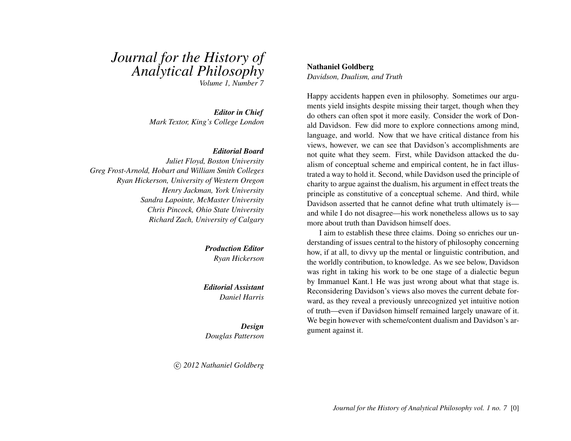# *Journal for the History of Analytical Philosophy*

*Volume 1, Number 7*

*Editor in Chief Mark Textor, King's College London*

#### *Editorial Board*

*Juliet Floyd, Boston University Greg Frost-Arnold, Hobart and William Smith Colleges Ryan Hickerson, University of Western Oregon Henry Jackman, York University Sandra Lapointe, McMaster University Chris Pincock, Ohio State University Richard Zach, University of Calgary*

> *Production Editor Ryan Hickerson*

*Editorial Assistant Daniel Harris*

*Design Douglas Patterson*

c *2012 Nathaniel Goldberg*

#### Nathaniel Goldberg

*Davidson, Dualism, and Truth*

Happy accidents happen even in philosophy. Sometimes our arguments yield insights despite missing their target, though when they do others can often spot it more easily. Consider the work of Donald Davidson. Few did more to explore connections among mind, language, and world. Now that we have critical distance from his views, however, we can see that Davidson's accomplishments are not quite what they seem. First, while Davidson attacked the dualism of conceptual scheme and empirical content, he in fact illustrated a way to hold it. Second, while Davidson used the principle of charity to argue against the dualism, his argument in effect treats the principle as constitutive of a conceptual scheme. And third, while Davidson asserted that he cannot define what truth ultimately is and while I do not disagree—his work nonetheless allows us to say more about truth than Davidson himself does.

I aim to establish these three claims. Doing so enriches our understanding of issues central to the history of philosophy concerning how, if at all, to divvy up the mental or linguistic contribution, and the worldly contribution, to knowledge. As we see below, Davidson was right in taking his work to be one stage of a dialectic begun by Immanuel Kant.1 He was just wrong about what that stage is. Reconsidering Davidson's views also moves the current debate forward, as they reveal a previously unrecognized yet intuitive notion of truth—even if Davidson himself remained largely unaware of it. We begin however with scheme/content dualism and Davidson's argument against it.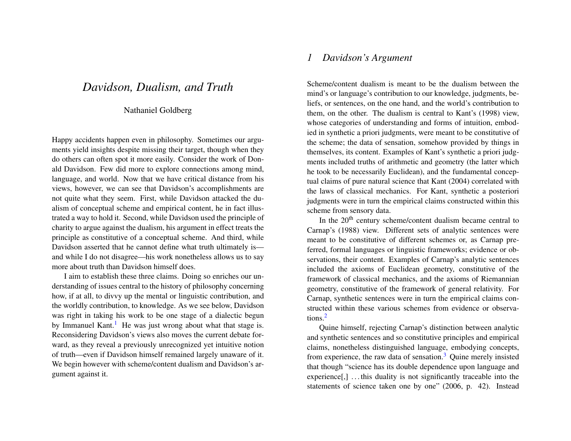# *Davidson, Dualism, and Truth*

#### Nathaniel Goldberg

Happy accidents happen even in philosophy. Sometimes our arguments yield insights despite missing their target, though when they do others can often spot it more easily. Consider the work of Donald Davidson. Few did more to explore connections among mind, language, and world. Now that we have critical distance from his views, however, we can see that Davidson's accomplishments are not quite what they seem. First, while Davidson attacked the dualism of conceptual scheme and empirical content, he in fact illustrated a way to hold it. Second, while Davidson used the principle of charity to argue against the dualism, his argument in effect treats the principle as constitutive of a conceptual scheme. And third, while Davidson asserted that he cannot define what truth ultimately is and while I do not disagree—his work nonetheless allows us to say more about truth than Davidson himself does.

<span id="page-1-0"></span>I aim to establish these three claims. Doing so enriches our understanding of issues central to the history of philosophy concerning how, if at all, to divvy up the mental or linguistic contribution, and the worldly contribution, to knowledge. As we see below, Davidson was right in taking his work to be one stage of a dialectic begun by Immanuel Kant.<sup>[1](#page-16-0)</sup> He was just wrong about what that stage is. Reconsidering Davidson's views also moves the current debate forward, as they reveal a previously unrecognized yet intuitive notion of truth—even if Davidson himself remained largely unaware of it. We begin however with scheme/content dualism and Davidson's argument against it.

# *1 Davidson's Argument*

Scheme/content dualism is meant to be the dualism between the mind's or language's contribution to our knowledge, judgments, beliefs, or sentences, on the one hand, and the world's contribution to them, on the other. The dualism is central to Kant's (1998) view, whose categories of understanding and forms of intuition, embodied in synthetic a priori judgments, were meant to be constitutive of the scheme; the data of sensation, somehow provided by things in themselves, its content. Examples of Kant's synthetic a priori judgments included truths of arithmetic and geometry (the latter which he took to be necessarily Euclidean), and the fundamental conceptual claims of pure natural science that Kant (2004) correlated with the laws of classical mechanics. For Kant, synthetic a posteriori judgments were in turn the empirical claims constructed within this scheme from sensory data.

In the  $20<sup>th</sup>$  century scheme/content dualism became central to Carnap's (1988) view. Different sets of analytic sentences were meant to be constitutive of different schemes or, as Carnap preferred, formal languages or linguistic frameworks; evidence or observations, their content. Examples of Carnap's analytic sentences included the axioms of Euclidean geometry, constitutive of the framework of classical mechanics, and the axioms of Riemannian geometry, constitutive of the framework of general relativity. For Carnap, synthetic sentences were in turn the empirical claims constructed within these various schemes from evidence or observations.[2](#page-16-1)

<span id="page-1-2"></span><span id="page-1-1"></span>Quine himself, rejecting Carnap's distinction between analytic and synthetic sentences and so constitutive principles and empirical claims, nonetheless distinguished language, embodying concepts, from experience, the raw data of sensation.[3](#page-16-2) Quine merely insisted that though "science has its double dependence upon language and experience $[$ , $]$ ... this duality is not significantly traceable into the statements of science taken one by one" (2006, p. 42). Instead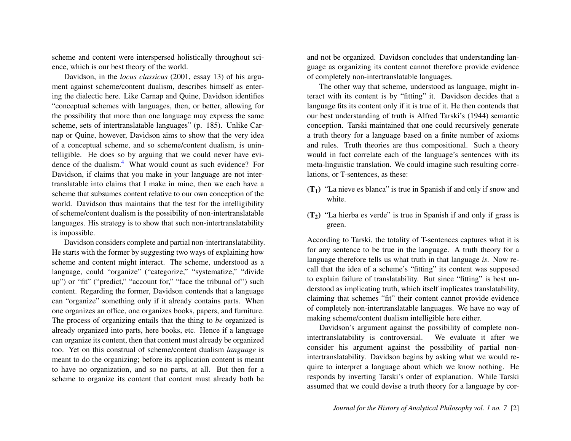scheme and content were interspersed holistically throughout science, which is our best theory of the world.

Davidson, in the *locus classicus* (2001, essay 13) of his argument against scheme/content dualism, describes himself as entering the dialectic here. Like Carnap and Quine, Davidson identifies "conceptual schemes with languages, then, or better, allowing for the possibility that more than one language may express the same scheme, sets of intertranslatable languages" (p. 185). Unlike Carnap or Quine, however, Davidson aims to show that the very idea of a conceptual scheme, and so scheme/content dualism, is unintelligible. He does so by arguing that we could never have evi-dence of the dualism.<sup>[4](#page-16-3)</sup> What would count as such evidence? For Davidson, if claims that you make in your language are not intertranslatable into claims that I make in mine, then we each have a scheme that subsumes content relative to our own conception of the world. Davidson thus maintains that the test for the intelligibility of scheme/content dualism is the possibility of non-intertranslatable languages. His strategy is to show that such non-intertranslatability is impossible.

<span id="page-2-0"></span>Davidson considers complete and partial non-intertranslatability. He starts with the former by suggesting two ways of explaining how scheme and content might interact. The scheme, understood as a language, could "organize" ("categorize," "systematize," "divide up") or "fit" ("predict," "account for," "face the tribunal of") such content. Regarding the former, Davidson contends that a language can "organize" something only if it already contains parts. When one organizes an office, one organizes books, papers, and furniture. The process of organizing entails that the thing to *be* organized is already organized into parts, here books, etc. Hence if a language can organize its content, then that content must already be organized too. Yet on this construal of scheme/content dualism *language* is meant to do the organizing; before its application content is meant to have no organization, and so no parts, at all. But then for a scheme to organize its content that content must already both be

and not be organized. Davidson concludes that understanding language as organizing its content cannot therefore provide evidence of completely non-intertranslatable languages.

The other way that scheme, understood as language, might interact with its content is by "fitting" it. Davidson decides that a language fits its content only if it is true of it. He then contends that our best understanding of truth is Alfred Tarski's (1944) semantic conception. Tarski maintained that one could recursively generate a truth theory for a language based on a finite number of axioms and rules. Truth theories are thus compositional. Such a theory would in fact correlate each of the language's sentences with its meta-linguistic translation. We could imagine such resulting correlations, or T-sentences, as these:

- $(T_1)$  "La nieve es blanca" is true in Spanish if and only if snow and white.
- $(T_2)$  "La hierba es verde" is true in Spanish if and only if grass is green.

According to Tarski, the totality of T-sentences captures what it is for any sentence to be true in the language. A truth theory for a language therefore tells us what truth in that language *is*. Now recall that the idea of a scheme's "fitting" its content was supposed to explain failure of translatability. But since "fitting" is best understood as implicating truth, which itself implicates translatability, claiming that schemes "fit" their content cannot provide evidence of completely non-intertranslatable languages. We have no way of making scheme/content dualism intelligible here either.

Davidson's argument against the possibility of complete nonintertranslatability is controversial. We evaluate it after we consider his argument against the possibility of partial nonintertranslatability. Davidson begins by asking what we would require to interpret a language about which we know nothing. He responds by inverting Tarski's order of explanation. While Tarski assumed that we could devise a truth theory for a language by cor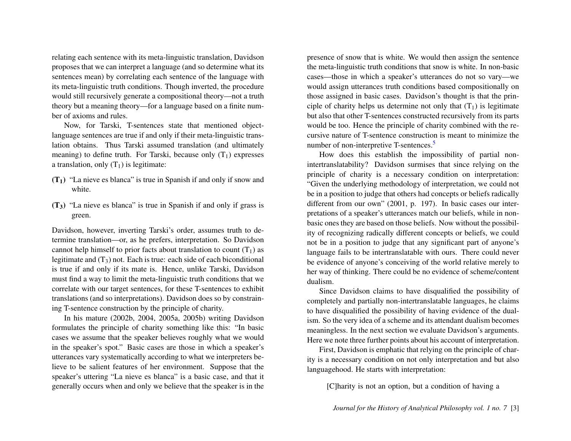relating each sentence with its meta-linguistic translation, Davidson proposes that we can interpret a language (and so determine what its sentences mean) by correlating each sentence of the language with its meta-linguistic truth conditions. Though inverted, the procedure would still recursively generate a compositional theory—not a truth theory but a meaning theory—for a language based on a finite number of axioms and rules.

Now, for Tarski, T-sentences state that mentioned objectlanguage sentences are true if and only if their meta-linguistic translation obtains. Thus Tarski assumed translation (and ultimately meaning) to define truth. For Tarski, because only  $(T_1)$  expresses a translation, only  $(T_1)$  is legitimate:

- $(T_1)$  "La nieve es blanca" is true in Spanish if and only if snow and white.
- (T3) "La nieve es blanca" is true in Spanish if and only if grass is green.

Davidson, however, inverting Tarski's order, assumes truth to determine translation—or, as he prefers, interpretation. So Davidson cannot help himself to prior facts about translation to count  $(T_1)$  as legitimate and  $(T_3)$  not. Each is true: each side of each biconditional is true if and only if its mate is. Hence, unlike Tarski, Davidson must find a way to limit the meta-linguistic truth conditions that we correlate with our target sentences, for these T-sentences to exhibit translations (and so interpretations). Davidson does so by constraining T-sentence construction by the principle of charity.

In his mature (2002b, 2004, 2005a, 2005b) writing Davidson formulates the principle of charity something like this: "In basic cases we assume that the speaker believes roughly what we would in the speaker's spot." Basic cases are those in which a speaker's utterances vary systematically according to what we interpreters believe to be salient features of her environment. Suppose that the speaker's uttering "La nieve es blanca" is a basic case, and that it generally occurs when and only we believe that the speaker is in the

presence of snow that is white. We would then assign the sentence the meta-linguistic truth conditions that snow is white. In non-basic cases—those in which a speaker's utterances do not so vary—we would assign utterances truth conditions based compositionally on those assigned in basic cases. Davidson's thought is that the principle of charity helps us determine not only that  $(T_1)$  is legitimate but also that other T-sentences constructed recursively from its parts would be too. Hence the principle of charity combined with the recursive nature of T-sentence construction is meant to minimize the number of non-interpretive T-sentences.<sup>[5](#page-16-4)</sup>

<span id="page-3-0"></span>How does this establish the impossibility of partial nonintertranslatability? Davidson surmises that since relying on the principle of charity is a necessary condition on interpretation: "Given the underlying methodology of interpretation, we could not be in a position to judge that others had concepts or beliefs radically different from our own" (2001, p. 197). In basic cases our interpretations of a speaker's utterances match our beliefs, while in nonbasic ones they are based on those beliefs. Now without the possibility of recognizing radically different concepts or beliefs, we could not be in a position to judge that any significant part of anyone's language fails to be intertranslatable with ours. There could never be evidence of anyone's conceiving of the world relative merely to her way of thinking. There could be no evidence of scheme/content dualism.

Since Davidson claims to have disqualified the possibility of completely and partially non-intertranslatable languages, he claims to have disqualified the possibility of having evidence of the dualism. So the very idea of a scheme and its attendant dualism becomes meaningless. In the next section we evaluate Davidson's arguments. Here we note three further points about his account of interpretation.

First, Davidson is emphatic that relying on the principle of charity is a necessary condition on not only interpretation and but also languagehood. He starts with interpretation:

[C]harity is not an option, but a condition of having a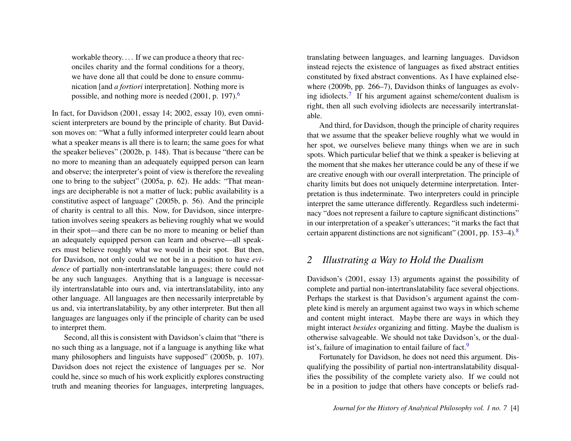workable theory. . . . If we can produce a theory that reconciles charity and the formal conditions for a theory, we have done all that could be done to ensure communication [and *a fortiori* interpretation]. Nothing more is possible, and nothing more is needed (2001, p. 197).[6](#page-16-5)

In fact, for Davidson (2001, essay 14; 2002, essay 10), even omniscient interpreters are bound by the principle of charity. But Davidson moves on: "What a fully informed interpreter could learn about what a speaker means is all there is to learn; the same goes for what the speaker believes" (2002b, p. 148). That is because "there can be no more to meaning than an adequately equipped person can learn and observe; the interpreter's point of view is therefore the revealing one to bring to the subject" (2005a, p. 62). He adds: "That meanings are decipherable is not a matter of luck; public availability is a constitutive aspect of language" (2005b, p. 56). And the principle of charity is central to all this. Now, for Davidson, since interpretation involves seeing speakers as believing roughly what we would in their spot—and there can be no more to meaning or belief than an adequately equipped person can learn and observe—all speakers must believe roughly what we would in their spot. But then, for Davidson, not only could we not be in a position to have *evidence* of partially non-intertranslatable languages; there could not be any such languages. Anything that is a language is necessarily intertranslatable into ours and, via intertranslatability, into any other language. All languages are then necessarily interpretable by us and, via intertranslatability, by any other interpreter. But then all languages are languages only if the principle of charity can be used to interpret them.

Second, all this is consistent with Davidson's claim that "there is no such thing as a language, not if a language is anything like what many philosophers and linguists have supposed" (2005b, p. 107). Davidson does not reject the existence of languages per se. Nor could he, since so much of his work explicitly explores constructing truth and meaning theories for languages, interpreting languages,

translating between languages, and learning languages. Davidson instead rejects the existence of languages as fixed abstract entities constituted by fixed abstract conventions. As I have explained elsewhere (2009b, pp. 266–7), Davidson thinks of languages as evolv-ing idiolects.<sup>[7](#page-16-6)</sup> If his argument against scheme/content dualism is right, then all such evolving idiolects are necessarily intertranslatable.

<span id="page-4-1"></span><span id="page-4-0"></span>And third, for Davidson, though the principle of charity requires that we assume that the speaker believe roughly what we would in her spot, we ourselves believe many things when we are in such spots. Which particular belief that we think a speaker is believing at the moment that she makes her utterance could be any of these if we are creative enough with our overall interpretation. The principle of charity limits but does not uniquely determine interpretation. Interpretation is thus indeterminate. Two interpreters could in principle interpret the same utterance differently. Regardless such indeterminacy "does not represent a failure to capture significant distinctions" in our interpretation of a speaker's utterances; "it marks the fact that certain apparent distinctions are not significant" (2001, pp. 153–4). $8$ 

## <span id="page-4-2"></span>*2 Illustrating a Way to Hold the Dualism*

Davidson's (2001, essay 13) arguments against the possibility of complete and partial non-intertranslatability face several objections. Perhaps the starkest is that Davidson's argument against the complete kind is merely an argument against two ways in which scheme and content might interact. Maybe there are ways in which they might interact *besides* organizing and fitting. Maybe the dualism is otherwise salvageable. We should not take Davidson's, or the dual-ist's, failure of imagination to entail failure of fact.<sup>[9](#page-16-8)</sup>

<span id="page-4-3"></span>Fortunately for Davidson, he does not need this argument. Disqualifying the possibility of partial non-intertranslatability disqualifies the possibility of the complete variety also. If we could not be in a position to judge that others have concepts or beliefs rad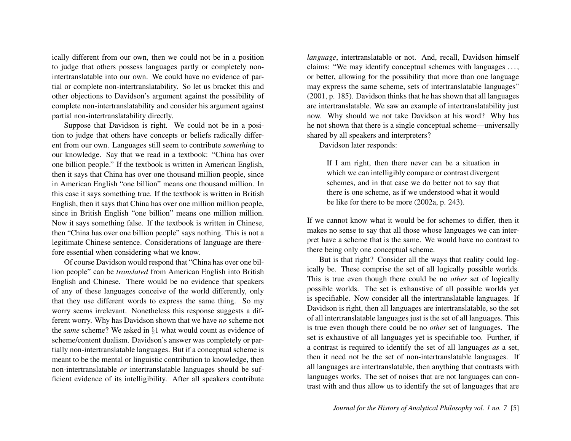ically different from our own, then we could not be in a position to judge that others possess languages partly or completely nonintertranslatable into our own. We could have no evidence of partial or complete non-intertranslatability. So let us bracket this and other objections to Davidson's argument against the possibility of complete non-intertranslatability and consider his argument against partial non-intertranslatability directly.

Suppose that Davidson is right. We could not be in a position to judge that others have concepts or beliefs radically different from our own. Languages still seem to contribute *something* to our knowledge. Say that we read in a textbook: "China has over one billion people." If the textbook is written in American English, then it says that China has over one thousand million people, since in American English "one billion" means one thousand million. In this case it says something true. If the textbook is written in British English, then it says that China has over one million million people, since in British English "one billion" means one million million. Now it says something false. If the textbook is written in Chinese, then "China has over one billion people" says nothing. This is not a legitimate Chinese sentence. Considerations of language are therefore essential when considering what we know.

Of course Davidson would respond that "China has over one billion people" can be *translated* from American English into British English and Chinese. There would be no evidence that speakers of any of these languages conceive of the world differently, only that they use different words to express the same thing. So my worry seems irrelevant. Nonetheless this response suggests a different worry. Why has Davidson shown that we have *no* scheme not the *same* scheme? We asked in §1 what would count as evidence of scheme/content dualism. Davidson's answer was completely or partially non-intertranslatable languages. But if a conceptual scheme is meant to be the mental or linguistic contribution to knowledge, then non-intertranslatable *or* intertranslatable languages should be sufficient evidence of its intelligibility. After all speakers contribute

*language*, intertranslatable or not. And, recall, Davidson himself claims: "We may identify conceptual schemes with languages . . . , or better, allowing for the possibility that more than one language may express the same scheme, sets of intertranslatable languages" (2001, p. 185). Davidson thinks that he has shown that all languages are intertranslatable. We saw an example of intertranslatability just now. Why should we not take Davidson at his word? Why has he not shown that there is a single conceptual scheme—universally shared by all speakers and interpreters?

Davidson later responds:

If I am right, then there never can be a situation in which we can intelligibly compare or contrast divergent schemes, and in that case we do better not to say that there is one scheme, as if we understood what it would be like for there to be more (2002a, p. 243).

If we cannot know what it would be for schemes to differ, then it makes no sense to say that all those whose languages we can interpret have a scheme that is the same. We would have no contrast to there being only one conceptual scheme.

But is that right? Consider all the ways that reality could logically be. These comprise the set of all logically possible worlds. This is true even though there could be no *other* set of logically possible worlds. The set is exhaustive of all possible worlds yet is specifiable. Now consider all the intertranslatable languages. If Davidson is right, then all languages are intertranslatable, so the set of all intertranslatable languages just is the set of all languages. This is true even though there could be no *other* set of languages. The set is exhaustive of all languages yet is specifiable too. Further, if a contrast is required to identify the set of all languages *as* a set, then it need not be the set of non-intertranslatable languages. If all languages are intertranslatable, then anything that contrasts with languages works. The set of noises that are not languages can contrast with and thus allow us to identify the set of languages that are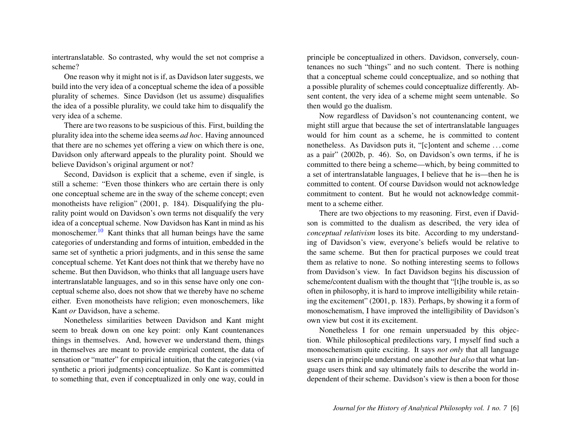intertranslatable. So contrasted, why would the set not comprise a scheme?

One reason why it might not is if, as Davidson later suggests, we build into the very idea of a conceptual scheme the idea of a possible plurality of schemes. Since Davidson (let us assume) disqualifies the idea of a possible plurality, we could take him to disqualify the very idea of a scheme.

There are two reasons to be suspicious of this. First, building the plurality idea into the scheme idea seems *ad hoc*. Having announced that there are no schemes yet offering a view on which there is one, Davidson only afterward appeals to the plurality point. Should we believe Davidson's original argument or not?

<span id="page-6-0"></span>Second, Davidson is explicit that a scheme, even if single, is still a scheme: "Even those thinkers who are certain there is only one conceptual scheme are in the sway of the scheme concept; even monotheists have religion" (2001, p. 184). Disqualifying the plurality point would on Davidson's own terms not disqualify the very idea of a conceptual scheme. Now Davidson has Kant in mind as his monoschemer.<sup>[10](#page-16-9)</sup> Kant thinks that all human beings have the same categories of understanding and forms of intuition, embedded in the same set of synthetic a priori judgments, and in this sense the same conceptual scheme. Yet Kant does not think that we thereby have no scheme. But then Davidson, who thinks that all language users have intertranslatable languages, and so in this sense have only one conceptual scheme also, does not show that we thereby have no scheme either. Even monotheists have religion; even monoschemers, like Kant *or* Davidson, have a scheme.

Nonetheless similarities between Davidson and Kant might seem to break down on one key point: only Kant countenances things in themselves. And, however we understand them, things in themselves are meant to provide empirical content, the data of sensation or "matter" for empirical intuition, that the categories (via synthetic a priori judgments) conceptualize. So Kant is committed to something that, even if conceptualized in only one way, could in

principle be conceptualized in others. Davidson, conversely, countenances no such "things" and no such content. There is nothing that a conceptual scheme could conceptualize, and so nothing that a possible plurality of schemes could conceptualize differently. Absent content, the very idea of a scheme might seem untenable. So then would go the dualism.

Now regardless of Davidson's not countenancing content, we might still argue that because the set of intertranslatable languages would for him count as a scheme, he is committed to content nonetheless. As Davidson puts it, "[c]ontent and scheme . . . come as a pair" (2002b, p. 46). So, on Davidson's own terms, if he is committed to there being a scheme—which, by being committed to a set of intertranslatable languages, I believe that he is—then he is committed to content. Of course Davidson would not acknowledge commitment to content. But he would not acknowledge commitment to a scheme either.

There are two objections to my reasoning. First, even if Davidson is committed to the dualism as described, the very idea of *conceptual relativism* loses its bite. According to my understanding of Davidson's view, everyone's beliefs would be relative to the same scheme. But then for practical purposes we could treat them as relative to none. So nothing interesting seems to follows from Davidson's view. In fact Davidson begins his discussion of scheme/content dualism with the thought that "[t]he trouble is, as so often in philosophy, it is hard to improve intelligibility while retaining the excitement" (2001, p. 183). Perhaps, by showing it a form of monoschematism, I have improved the intelligibility of Davidson's own view but cost it its excitement.

Nonetheless I for one remain unpersuaded by this objection. While philosophical predilections vary, I myself find such a monoschematism quite exciting. It says *not only* that all language users can in principle understand one another *but also* that what language users think and say ultimately fails to describe the world independent of their scheme. Davidson's view is then a boon for those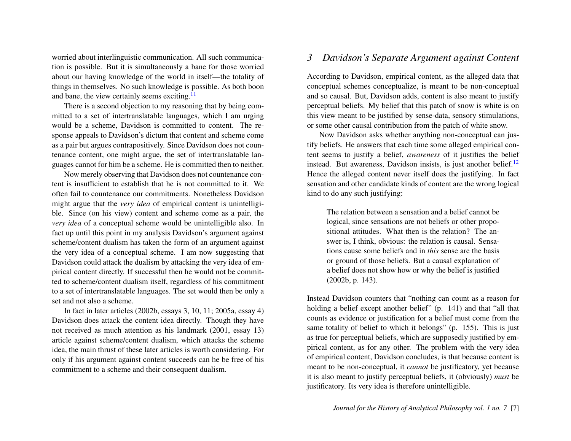worried about interlinguistic communication. All such communication is possible. But it is simultaneously a bane for those worried about our having knowledge of the world in itself—the totality of things in themselves. No such knowledge is possible. As both boon and bane, the view certainly seems exciting.<sup>[11](#page-16-10)</sup>

There is a second objection to my reasoning that by being committed to a set of intertranslatable languages, which I am urging would be a scheme, Davidson is committed to content. The response appeals to Davidson's dictum that content and scheme come as a pair but argues contrapositively. Since Davidson does not countenance content, one might argue, the set of intertranslatable languages cannot for him be a scheme. He is committed then to neither.

Now merely observing that Davidson does not countenance content is insufficient to establish that he is not committed to it. We often fail to countenance our commitments. Nonetheless Davidson might argue that the *very idea* of empirical content is unintelligible. Since (on his view) content and scheme come as a pair, the *very idea* of a conceptual scheme would be unintelligible also. In fact up until this point in my analysis Davidson's argument against scheme/content dualism has taken the form of an argument against the very idea of a conceptual scheme. I am now suggesting that Davidson could attack the dualism by attacking the very idea of empirical content directly. If successful then he would not be committed to scheme/content dualism itself, regardless of his commitment to a set of intertranslatable languages. The set would then be only a set and not also a scheme.

In fact in later articles (2002b, essays 3, 10, 11; 2005a, essay 4) Davidson does attack the content idea directly. Though they have not received as much attention as his landmark (2001, essay 13) article against scheme/content dualism, which attacks the scheme idea, the main thrust of these later articles is worth considering. For only if his argument against content succeeds can he be free of his commitment to a scheme and their consequent dualism.

#### *3 Davidson's Separate Argument against Content*

<span id="page-7-0"></span>According to Davidson, empirical content, as the alleged data that conceptual schemes conceptualize, is meant to be non-conceptual and so causal. But, Davidson adds, content is also meant to justify perceptual beliefs. My belief that this patch of snow is white is on this view meant to be justified by sense-data, sensory stimulations, or some other causal contribution from the patch of white snow.

Now Davidson asks whether anything non-conceptual can justify beliefs. He answers that each time some alleged empirical content seems to justify a belief, *awareness* of it justifies the belief instead. But awareness, Davidson insists, is just another belief. $12$ Hence the alleged content never itself does the justifying. In fact sensation and other candidate kinds of content are the wrong logical kind to do any such justifying:

<span id="page-7-1"></span>The relation between a sensation and a belief cannot be logical, since sensations are not beliefs or other propositional attitudes. What then is the relation? The answer is, I think, obvious: the relation is causal. Sensations cause some beliefs and in *this* sense are the basis or ground of those beliefs. But a causal explanation of a belief does not show how or why the belief is justified (2002b, p. 143).

Instead Davidson counters that "nothing can count as a reason for holding a belief except another belief" (p. 141) and that "all that counts as evidence or justification for a belief must come from the same totality of belief to which it belongs" (p. 155). This is just as true for perceptual beliefs, which are supposedly justified by empirical content, as for any other. The problem with the very idea of empirical content, Davidson concludes, is that because content is meant to be non-conceptual, it *cannot* be justificatory, yet because it is also meant to justify perceptual beliefs, it (obviously) *must* be justificatory. Its very idea is therefore unintelligible.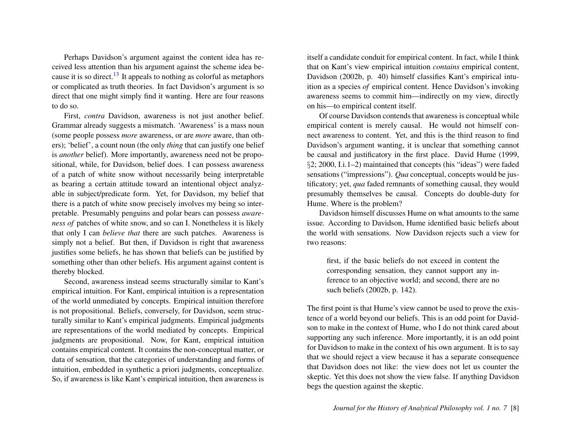<span id="page-8-0"></span>Perhaps Davidson's argument against the content idea has received less attention than his argument against the scheme idea be-cause it is so direct.<sup>[13](#page-16-12)</sup> It appeals to nothing as colorful as metaphors or complicated as truth theories. In fact Davidson's argument is so direct that one might simply find it wanting. Here are four reasons to do so.

First, *contra* Davidson, awareness is not just another belief. Grammar already suggests a mismatch. 'Awareness' is a mass noun (some people possess *more* awareness, or are *more* aware, than others); 'belief', a count noun (the only *thing* that can justify one belief is *another* belief). More importantly, awareness need not be propositional, while, for Davidson, belief does. I can possess awareness of a patch of white snow without necessarily being interpretable as bearing a certain attitude toward an intentional object analyzable in subject/predicate form. Yet, for Davidson, my belief that there is a patch of white snow precisely involves my being so interpretable. Presumably penguins and polar bears can possess *awareness of* patches of white snow, and so can I. Nonetheless it is likely that only I can *believe that* there are such patches. Awareness is simply not a belief. But then, if Davidson is right that awareness justifies some beliefs, he has shown that beliefs can be justified by something other than other beliefs. His argument against content is thereby blocked.

Second, awareness instead seems structurally similar to Kant's empirical intuition. For Kant, empirical intuition is a representation of the world unmediated by concepts. Empirical intuition therefore is not propositional. Beliefs, conversely, for Davidson, seem structurally similar to Kant's empirical judgments. Empirical judgments are representations of the world mediated by concepts. Empirical judgments are propositional. Now, for Kant, empirical intuition contains empirical content. It contains the non-conceptual matter, or data of sensation, that the categories of understanding and forms of intuition, embedded in synthetic a priori judgments, conceptualize. So, if awareness is like Kant's empirical intuition, then awareness is

itself a candidate conduit for empirical content. In fact, while I think that on Kant's view empirical intuition *contains* empirical content, Davidson (2002b, p. 40) himself classifies Kant's empirical intuition as a species *of* empirical content. Hence Davidson's invoking awareness seems to commit him—indirectly on my view, directly on his—to empirical content itself.

Of course Davidson contends that awareness is conceptual while empirical content is merely causal. He would not himself connect awareness to content. Yet, and this is the third reason to find Davidson's argument wanting, it is unclear that something cannot be causal and justificatory in the first place. David Hume (1999, §2; 2000, I.i.1–2) maintained that concepts (his "ideas") were faded sensations ("impressions"). *Qua* conceptual, concepts would be justificatory; yet, *qua* faded remnants of something causal, they would presumably themselves be causal. Concepts do double-duty for Hume. Where is the problem?

Davidson himself discusses Hume on what amounts to the same issue. According to Davidson, Hume identified basic beliefs about the world with sensations. Now Davidson rejects such a view for two reasons:

first, if the basic beliefs do not exceed in content the corresponding sensation, they cannot support any inference to an objective world; and second, there are no such beliefs (2002b, p. 142).

The first point is that Hume's view cannot be used to prove the existence of a world beyond our beliefs. This is an odd point for Davidson to make in the context of Hume, who I do not think cared about supporting any such inference. More importantly, it is an odd point for Davidson to make in the context of his own argument. It is to say that we should reject a view because it has a separate consequence that Davidson does not like: the view does not let us counter the skeptic. Yet this does not show the view false. If anything Davidson begs the question against the skeptic.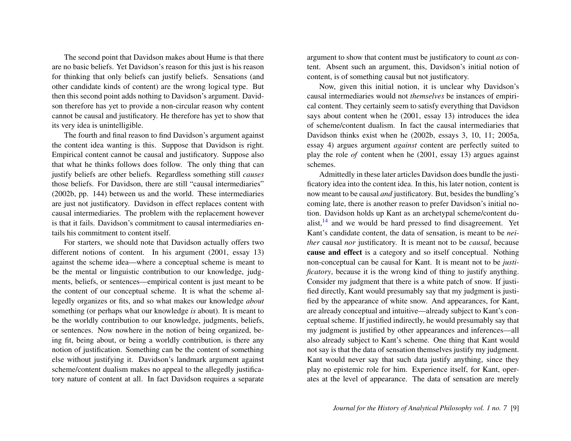The second point that Davidson makes about Hume is that there are no basic beliefs. Yet Davidson's reason for this just is his reason for thinking that only beliefs can justify beliefs. Sensations (and other candidate kinds of content) are the wrong logical type. But then this second point adds nothing to Davidson's argument. Davidson therefore has yet to provide a non-circular reason why content cannot be causal and justificatory. He therefore has yet to show that its very idea is unintelligible.

The fourth and final reason to find Davidson's argument against the content idea wanting is this. Suppose that Davidson is right. Empirical content cannot be causal and justificatory. Suppose also that what he thinks follows does follow. The only thing that can justify beliefs are other beliefs. Regardless something still *causes* those beliefs. For Davidson, there are still "causal intermediaries" (2002b, pp. 144) between us and the world. These intermediaries are just not justificatory. Davidson in effect replaces content with causal intermediaries. The problem with the replacement however is that it fails. Davidson's commitment to causal intermediaries entails his commitment to content itself.

For starters, we should note that Davidson actually offers two different notions of content. In his argument (2001, essay 13) against the scheme idea—where a conceptual scheme is meant to be the mental or linguistic contribution to our knowledge, judgments, beliefs, or sentences—empirical content is just meant to be the content of our conceptual scheme. It is what the scheme allegedly organizes or fits, and so what makes our knowledge *about* something (or perhaps what our knowledge *is* about). It is meant to be the worldly contribution to our knowledge, judgments, beliefs, or sentences. Now nowhere in the notion of being organized, being fit, being about, or being a worldly contribution, is there any notion of justification. Something can be the content of something else without justifying it. Davidson's landmark argument against scheme/content dualism makes no appeal to the allegedly justificatory nature of content at all. In fact Davidson requires a separate

argument to show that content must be justificatory to count *as* content. Absent such an argument, this, Davidson's initial notion of content, is of something causal but not justificatory.

Now, given this initial notion, it is unclear why Davidson's causal intermediaries would not *themselves* be instances of empirical content. They certainly seem to satisfy everything that Davidson says about content when he (2001, essay 13) introduces the idea of scheme/content dualism. In fact the causal intermediaries that Davidson thinks exist when he (2002b, essays 3, 10, 11; 2005a, essay 4) argues argument *against* content are perfectly suited to play the role *of* content when he (2001, essay 13) argues against schemes.

<span id="page-9-0"></span>Admittedly in these later articles Davidson does bundle the justificatory idea into the content idea. In this, his later notion, content is now meant to be causal *and* justificatory. But, besides the bundling's coming late, there is another reason to prefer Davidson's initial notion. Davidson holds up Kant as an archetypal scheme/content dualist, $14$  and we would be hard pressed to find disagreement. Yet Kant's candidate content, the data of sensation, is meant to be *neither* causal *nor* justificatory. It is meant not to be *causal*, because cause and effect is a category and so itself conceptual. Nothing non-conceptual can be causal for Kant. It is meant not to be *justificatory*, because it is the wrong kind of thing to justify anything. Consider my judgment that there is a white patch of snow. If justified directly, Kant would presumably say that my judgment is justified by the appearance of white snow. And appearances, for Kant, are already conceptual and intuitive—already subject to Kant's conceptual scheme. If justified indirectly, he would presumably say that my judgment is justified by other appearances and inferences—all also already subject to Kant's scheme. One thing that Kant would not say is that the data of sensation themselves justify my judgment. Kant would never say that such data justify anything, since they play no epistemic role for him. Experience itself, for Kant, operates at the level of appearance. The data of sensation are merely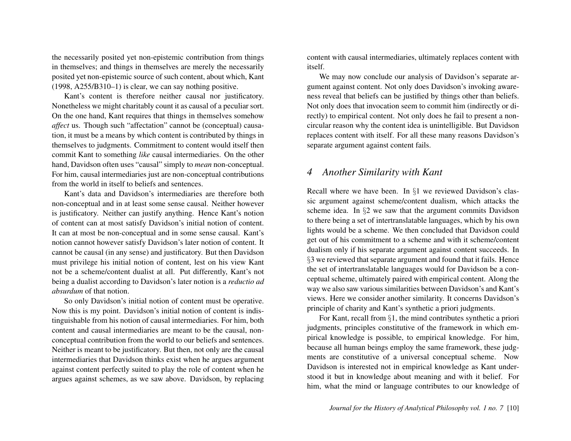the necessarily posited yet non-epistemic contribution from things in themselves; and things in themselves are merely the necessarily posited yet non-epistemic source of such content, about which, Kant (1998, A255/B310–1) is clear, we can say nothing positive.

Kant's content is therefore neither causal nor justificatory. Nonetheless we might charitably count it as causal of a peculiar sort. On the one hand, Kant requires that things in themselves somehow *affect* us. Though such "affectation" cannot be (conceptual) causation, it must be a means by which content is contributed by things in themselves to judgments. Commitment to content would itself then commit Kant to something *like* causal intermediaries. On the other hand, Davidson often uses "causal" simply to *mean* non-conceptual. For him, causal intermediaries just are non-conceptual contributions from the world in itself to beliefs and sentences.

Kant's data and Davidson's intermediaries are therefore both non-conceptual and in at least some sense causal. Neither however is justificatory. Neither can justify anything. Hence Kant's notion of content can at most satisfy Davidson's initial notion of content. It can at most be non-conceptual and in some sense causal. Kant's notion cannot however satisfy Davidson's later notion of content. It cannot be causal (in any sense) and justificatory. But then Davidson must privilege his initial notion of content, lest on his view Kant not be a scheme/content dualist at all. Put differently, Kant's not being a dualist according to Davidson's later notion is a *reductio ad absurdum* of that notion.

So only Davidson's initial notion of content must be operative. Now this is my point. Davidson's initial notion of content is indistinguishable from his notion of causal intermediaries. For him, both content and causal intermediaries are meant to be the causal, nonconceptual contribution from the world to our beliefs and sentences. Neither is meant to be justificatory. But then, not only are the causal intermediaries that Davidson thinks exist when he argues argument against content perfectly suited to play the role of content when he argues against schemes, as we saw above. Davidson, by replacing

content with causal intermediaries, ultimately replaces content with itself.

We may now conclude our analysis of Davidson's separate argument against content. Not only does Davidson's invoking awareness reveal that beliefs can be justified by things other than beliefs. Not only does that invocation seem to commit him (indirectly or directly) to empirical content. Not only does he fail to present a noncircular reason why the content idea is unintelligible. But Davidson replaces content with itself. For all these many reasons Davidson's separate argument against content fails.

#### *4 Another Similarity with Kant*

Recall where we have been. In §1 we reviewed Davidson's classic argument against scheme/content dualism, which attacks the scheme idea. In §2 we saw that the argument commits Davidson to there being a set of intertranslatable languages, which by his own lights would be a scheme. We then concluded that Davidson could get out of his commitment to a scheme and with it scheme/content dualism only if his separate argument against content succeeds. In §3 we reviewed that separate argument and found that it fails. Hence the set of intertranslatable languages would for Davidson be a conceptual scheme, ultimately paired with empirical content. Along the way we also saw various similarities between Davidson's and Kant's views. Here we consider another similarity. It concerns Davidson's principle of charity and Kant's synthetic a priori judgments.

For Kant, recall from §1, the mind contributes synthetic a priori judgments, principles constitutive of the framework in which empirical knowledge is possible, to empirical knowledge. For him, because all human beings employ the same framework, these judgments are constitutive of a universal conceptual scheme. Now Davidson is interested not in empirical knowledge as Kant understood it but in knowledge about meaning and with it belief. For him, what the mind or language contributes to our knowledge of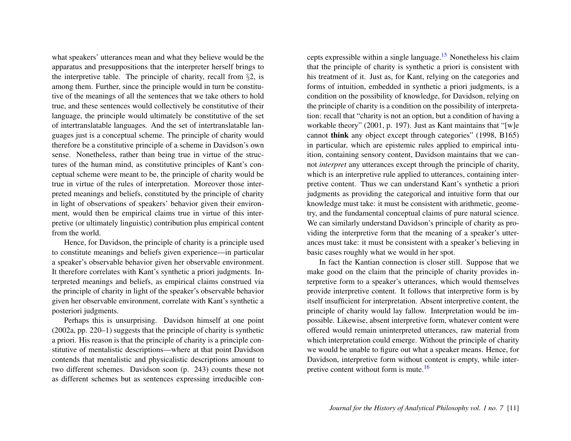what speakers' utterances mean and what they believe would be the apparatus and presuppositions that the interpreter herself brings to the interpretive table. The principle of charity, recall from  $\S$ 2, is among them. Further, since the principle would in turn be constitutive of the meanings of all the sentences that we take others to hold true, and these sentences would collectively be constitutive of their language, the principle would ultimately be constitutive of the set of intertranslatable languages. And the set of intertranslatable languages just is a conceptual scheme. The principle of charity would therefore be a constitutive principle of a scheme in Davidson's own sense. Nonetheless, rather than being true in virtue of the structures of the human mind, as constitutive principles of Kant's conceptual scheme were meant to be, the principle of charity would be true in virtue of the rules of interpretation. Moreover those interpreted meanings and beliefs, constituted by the principle of charity in light of observations of speakers' behavior given their environment, would then be empirical claims true in virtue of this interpretive (or ultimately linguistic) contribution plus empirical content from the world.

Hence, for Davidson, the principle of charity is a principle used to constitute meanings and beliefs given experience—in particular a speaker's observable behavior given her observable environment. It therefore correlates with Kant's synthetic a priori judgments. Interpreted meanings and beliefs, as empirical claims construed via the principle of charity in light of the speaker's observable behavior given her observable environment, correlate with Kant's synthetic a posteriori judgments.

Perhaps this is unsurprising. Davidson himself at one point (2002a, pp. 220–1) suggests that the principle of charity is synthetic a priori. His reason is that the principle of charity is a principle constitutive of mentalistic descriptions—where at that point Davidson contends that mentalistic and physicalistic descriptions amount to two different schemes. Davidson soon (p. 243) counts these not as different schemes but as sentences expressing irreducible con<span id="page-11-0"></span>cepts expressible within a single language.[15](#page-17-0) Nonetheless his claim that the principle of charity is synthetic a priori is consistent with his treatment of it. Just as, for Kant, relying on the categories and forms of intuition, embedded in synthetic a priori judgments, is a condition on the possibility of knowledge, for Davidson, relying on the principle of charity is a condition on the possibility of interpretation: recall that "charity is not an option, but a condition of having a workable theory" (2001, p. 197). Just as Kant maintains that "[w]e cannot think any object except through categories" (1998, B165) in particular, which are epistemic rules applied to empirical intuition, containing sensory content, Davidson maintains that we cannot *interpret* any utterances except through the principle of charity, which is an interpretive rule applied to utterances, containing interpretive content. Thus we can understand Kant's synthetic a priori judgments as providing the categorical and intuitive form that our knowledge must take: it must be consistent with arithmetic, geometry, and the fundamental conceptual claims of pure natural science. We can similarly understand Davidson's principle of charity as providing the interpretive form that the meaning of a speaker's utterances must take: it must be consistent with a speaker's believing in basic cases roughly what we would in her spot.

<span id="page-11-1"></span>In fact the Kantian connection is closer still. Suppose that we make good on the claim that the principle of charity provides interpretive form to a speaker's utterances, which would themselves provide interpretive content. It follows that interpretive form is by itself insufficient for interpretation. Absent interpretive content, the principle of charity would lay fallow. Interpretation would be impossible. Likewise, absent interpretive form, whatever content were offered would remain uninterpreted utterances, raw material from which interpretation could emerge. Without the principle of charity we would be unable to figure out what a speaker means. Hence, for Davidson, interpretive form without content is empty, while inter-pretive content without form is mute.<sup>[16](#page-17-1)</sup>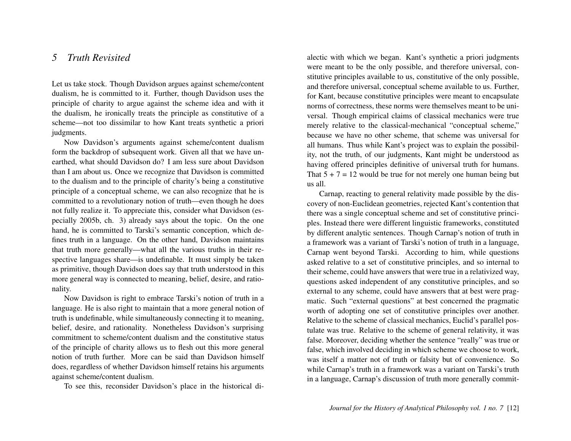## *5 Truth Revisited*

Let us take stock. Though Davidson argues against scheme/content dualism, he is committed to it. Further, though Davidson uses the principle of charity to argue against the scheme idea and with it the dualism, he ironically treats the principle as constitutive of a scheme—not too dissimilar to how Kant treats synthetic a priori judgments.

Now Davidson's arguments against scheme/content dualism form the backdrop of subsequent work. Given all that we have unearthed, what should Davidson do? I am less sure about Davidson than I am about us. Once we recognize that Davidson is committed to the dualism and to the principle of charity's being a constitutive principle of a conceptual scheme, we can also recognize that he is committed to a revolutionary notion of truth—even though he does not fully realize it. To appreciate this, consider what Davidson (especially 2005b, ch. 3) already says about the topic. On the one hand, he is committed to Tarski's semantic conception, which defines truth in a language. On the other hand, Davidson maintains that truth more generally—what all the various truths in their respective languages share—is undefinable. It must simply be taken as primitive, though Davidson does say that truth understood in this more general way is connected to meaning, belief, desire, and rationality.

Now Davidson is right to embrace Tarski's notion of truth in a language. He is also right to maintain that a more general notion of truth is undefinable, while simultaneously connecting it to meaning, belief, desire, and rationality. Nonetheless Davidson's surprising commitment to scheme/content dualism and the constitutive status of the principle of charity allows us to flesh out this more general notion of truth further. More can be said than Davidson himself does, regardless of whether Davidson himself retains his arguments against scheme/content dualism.

To see this, reconsider Davidson's place in the historical di-

alectic with which we began. Kant's synthetic a priori judgments were meant to be the only possible, and therefore universal, constitutive principles available to us, constitutive of the only possible, and therefore universal, conceptual scheme available to us. Further, for Kant, because constitutive principles were meant to encapsulate norms of correctness, these norms were themselves meant to be universal. Though empirical claims of classical mechanics were true merely relative to the classical-mechanical "conceptual scheme," because we have no other scheme, that scheme was universal for all humans. Thus while Kant's project was to explain the possibility, not the truth, of our judgments, Kant might be understood as having offered principles definitive of universal truth for humans. That  $5 + 7 = 12$  would be true for not merely one human being but us all.

Carnap, reacting to general relativity made possible by the discovery of non-Euclidean geometries, rejected Kant's contention that there was a single conceptual scheme and set of constitutive principles. Instead there were different linguistic frameworks, constituted by different analytic sentences. Though Carnap's notion of truth in a framework was a variant of Tarski's notion of truth in a language, Carnap went beyond Tarski. According to him, while questions asked relative to a set of constitutive principles, and so internal to their scheme, could have answers that were true in a relativized way, questions asked independent of any constitutive principles, and so external to any scheme, could have answers that at best were pragmatic. Such "external questions" at best concerned the pragmatic worth of adopting one set of constitutive principles over another. Relative to the scheme of classical mechanics, Euclid's parallel postulate was true. Relative to the scheme of general relativity, it was false. Moreover, deciding whether the sentence "really" was true or false, which involved deciding in which scheme we choose to work, was itself a matter not of truth or falsity but of convenience. So while Carnap's truth in a framework was a variant on Tarski's truth in a language, Carnap's discussion of truth more generally commit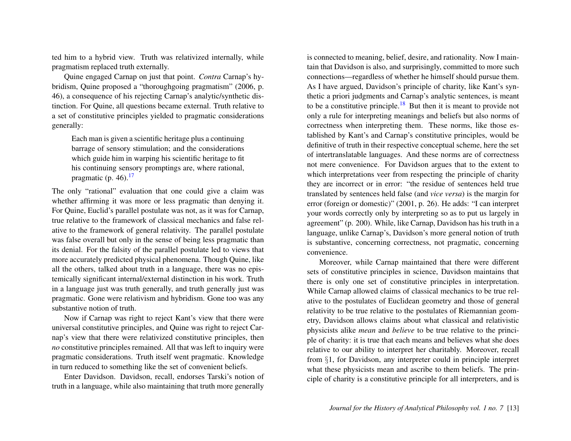ted him to a hybrid view. Truth was relativized internally, while pragmatism replaced truth externally.

Quine engaged Carnap on just that point. *Contra* Carnap's hybridism, Quine proposed a "thoroughgoing pragmatism" (2006, p. 46), a consequence of his rejecting Carnap's analytic/synthetic distinction. For Quine, all questions became external. Truth relative to a set of constitutive principles yielded to pragmatic considerations generally:

<span id="page-13-0"></span>Each man is given a scientific heritage plus a continuing barrage of sensory stimulation; and the considerations which guide him in warping his scientific heritage to fit his continuing sensory promptings are, where rational, pragmatic (p.  $46$ ).<sup>[17](#page-17-2)</sup>

The only "rational" evaluation that one could give a claim was whether affirming it was more or less pragmatic than denying it. For Quine, Euclid's parallel postulate was not, as it was for Carnap, true relative to the framework of classical mechanics and false relative to the framework of general relativity. The parallel postulate was false overall but only in the sense of being less pragmatic than its denial. For the falsity of the parallel postulate led to views that more accurately predicted physical phenomena. Though Quine, like all the others, talked about truth in a language, there was no epistemically significant internal/external distinction in his work. Truth in a language just was truth generally, and truth generally just was pragmatic. Gone were relativism and hybridism. Gone too was any substantive notion of truth.

Now if Carnap was right to reject Kant's view that there were universal constitutive principles, and Quine was right to reject Carnap's view that there were relativized constitutive principles, then *no* constitutive principles remained. All that was left to inquiry were pragmatic considerations. Truth itself went pragmatic. Knowledge in turn reduced to something like the set of convenient beliefs.

Enter Davidson. Davidson, recall, endorses Tarski's notion of truth in a language, while also maintaining that truth more generally

<span id="page-13-1"></span>is connected to meaning, belief, desire, and rationality. Now I maintain that Davidson is also, and surprisingly, committed to more such connections—regardless of whether he himself should pursue them. As I have argued, Davidson's principle of charity, like Kant's synthetic a priori judgments and Carnap's analytic sentences, is meant to be a constitutive principle.<sup>[18](#page-17-3)</sup> But then it is meant to provide not only a rule for interpreting meanings and beliefs but also norms of correctness when interpreting them. These norms, like those established by Kant's and Carnap's constitutive principles, would be definitive of truth in their respective conceptual scheme, here the set of intertranslatable languages. And these norms are of correctness not mere convenience. For Davidson argues that to the extent to which interpretations veer from respecting the principle of charity they are incorrect or in error: "the residue of sentences held true translated by sentences held false (and *vice versa*) is the margin for error (foreign or domestic)" (2001, p. 26). He adds: "I can interpret your words correctly only by interpreting so as to put us largely in agreement" (p. 200). While, like Carnap, Davidson has his truth in a language, unlike Carnap's, Davidson's more general notion of truth is substantive, concerning correctness, not pragmatic, concerning convenience.

Moreover, while Carnap maintained that there were different sets of constitutive principles in science, Davidson maintains that there is only one set of constitutive principles in interpretation. While Carnap allowed claims of classical mechanics to be true relative to the postulates of Euclidean geometry and those of general relativity to be true relative to the postulates of Riemannian geometry, Davidson allows claims about what classical and relativistic physicists alike *mean* and *believe* to be true relative to the principle of charity: it is true that each means and believes what she does relative to our ability to interpret her charitably. Moreover, recall from §1, for Davidson, any interpreter could in principle interpret what these physicists mean and ascribe to them beliefs. The principle of charity is a constitutive principle for all interpreters, and is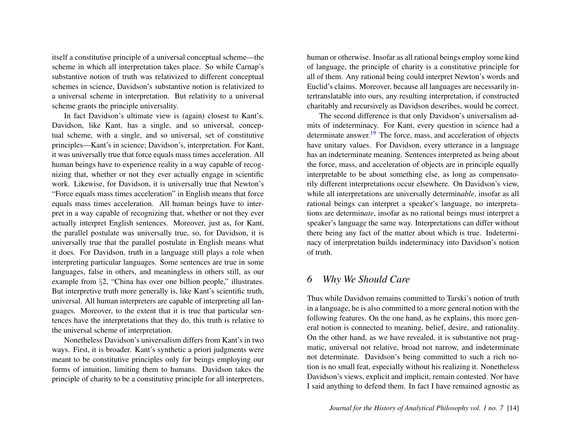itself a constitutive principle of a universal conceptual scheme—the scheme in which all interpretation takes place. So while Carnap's substantive notion of truth was relativized to different conceptual schemes in science, Davidson's substantive notion is relativized to a universal scheme in interpretation. But relativity to a universal scheme grants the principle universality.

In fact Davidson's ultimate view is (again) closest to Kant's. Davidson, like Kant, has a single, and so universal, conceptual scheme, with a single, and so universal, set of constitutive principles—Kant's in science; Davidson's, interpretation. For Kant, it was universally true that force equals mass times acceleration. All human beings have to experience reality in a way capable of recognizing that, whether or not they ever actually engage in scientific work. Likewise, for Davidson, it is universally true that Newton's "Force equals mass times acceleration" in English means that force equals mass times acceleration. All human beings have to interpret in a way capable of recognizing that, whether or not they ever actually interpret English sentences. Moreover, just as, for Kant, the parallel postulate was universally true, so, for Davidson, it is universally true that the parallel postulate in English means what it does. For Davidson, truth in a language still plays a role when interpreting particular languages. Some sentences are true in some languages, false in others, and meaningless in others still, as our example from §2, "China has over one billion people," illustrates. But interpretive truth more generally is, like Kant's scientific truth, universal. All human interpreters are capable of interpreting all languages. Moreover, to the extent that it is true that particular sentences have the interpretations that they do, this truth is relative to the universal scheme of interpretation.

Nonetheless Davidson's universalism differs from Kant's in two ways. First, it is broader. Kant's synthetic a priori judgments were meant to be constitutive principles only for beings employing our forms of intuition, limiting them to humans. Davidson takes the principle of charity to be a constitutive principle for all interpreters, human or otherwise. Insofar as all rational beings employ some kind of language, the principle of charity is a constitutive principle for all of them. Any rational being could interpret Newton's words and Euclid's claims. Moreover, because all languages are necessarily intertranslatable into ours, any resulting interpretation, if constructed charitably and recursively as Davidson describes, would be correct.

<span id="page-14-0"></span>The second difference is that only Davidson's universalism admits of indeterminacy. For Kant, every question in science had a determinate answer.<sup>[19](#page-17-4)</sup> The force, mass, and acceleration of objects have unitary values. For Davidson, every utterance in a language has an indeterminate meaning. Sentences interpreted as being about the force, mass, and acceleration of objects are in principle equally interpretable to be about something else, as long as compensatorily different interpretations occur elsewhere. On Davidson's view, while all interpretations are universally determin*able*, insofar as all rational beings can interpret a speaker's language, no interpretations are determin*ate*, insofar as no rational beings must interpret a speaker's language the same way. Interpretations can differ without there being any fact of the matter about which is true. Indeterminacy of interpretation builds indeterminacy into Davidson's notion of truth.

#### *6 Why We Should Care*

Thus while Davidson remains committed to Tarski's notion of truth in a language, he is also committed to a more general notion with the following features. On the one hand, as he explains, this more general notion is connected to meaning, belief, desire, and rationality. On the other hand, as we have revealed, it is substantive not pragmatic, universal not relative, broad not narrow, and indeterminate not determinate. Davidson's being committed to such a rich notion is no small feat, especially without his realizing it. Nonetheless Davidson's views, explicit and implicit, remain contested. Nor have I said anything to defend them. In fact I have remained agnostic as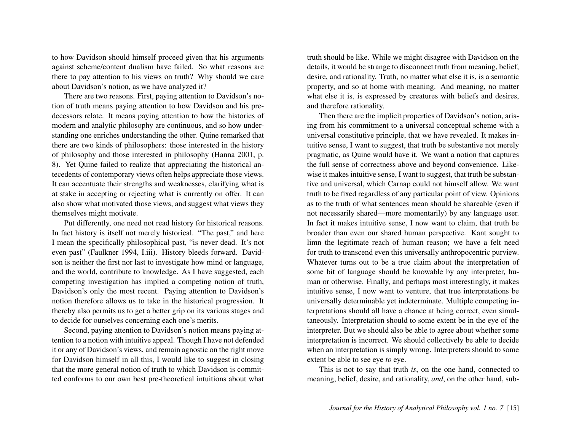to how Davidson should himself proceed given that his arguments against scheme/content dualism have failed. So what reasons are there to pay attention to his views on truth? Why should we care about Davidson's notion, as we have analyzed it?

There are two reasons. First, paying attention to Davidson's notion of truth means paying attention to how Davidson and his predecessors relate. It means paying attention to how the histories of modern and analytic philosophy are continuous, and so how understanding one enriches understanding the other. Quine remarked that there are two kinds of philosophers: those interested in the history of philosophy and those interested in philosophy (Hanna 2001, p. 8). Yet Quine failed to realize that appreciating the historical antecedents of contemporary views often helps appreciate those views. It can accentuate their strengths and weaknesses, clarifying what is at stake in accepting or rejecting what is currently on offer. It can also show what motivated those views, and suggest what views they themselves might motivate.

Put differently, one need not read history for historical reasons. In fact history is itself not merely historical. "The past," and here I mean the specifically philosophical past, "is never dead. It's not even past" (Faulkner 1994, I.iii). History bleeds forward. Davidson is neither the first nor last to investigate how mind or language, and the world, contribute to knowledge. As I have suggested, each competing investigation has implied a competing notion of truth, Davidson's only the most recent. Paying attention to Davidson's notion therefore allows us to take in the historical progression. It thereby also permits us to get a better grip on its various stages and to decide for ourselves concerning each one's merits.

Second, paying attention to Davidson's notion means paying attention to a notion with intuitive appeal. Though I have not defended it or any of Davidson's views, and remain agnostic on the right move for Davidson himself in all this, I would like to suggest in closing that the more general notion of truth to which Davidson is committed conforms to our own best pre-theoretical intuitions about what

truth should be like. While we might disagree with Davidson on the details, it would be strange to disconnect truth from meaning, belief, desire, and rationality. Truth, no matter what else it is, is a semantic property, and so at home with meaning. And meaning, no matter what else it is, is expressed by creatures with beliefs and desires, and therefore rationality.

Then there are the implicit properties of Davidson's notion, arising from his commitment to a universal conceptual scheme with a universal constitutive principle, that we have revealed. It makes intuitive sense, I want to suggest, that truth be substantive not merely pragmatic, as Quine would have it. We want a notion that captures the full sense of correctness above and beyond convenience. Likewise it makes intuitive sense, I want to suggest, that truth be substantive and universal, which Carnap could not himself allow. We want truth to be fixed regardless of any particular point of view. Opinions as to the truth of what sentences mean should be shareable (even if not necessarily shared—more momentarily) by any language user. In fact it makes intuitive sense, I now want to claim, that truth be broader than even our shared human perspective. Kant sought to limn the legitimate reach of human reason; we have a felt need for truth to transcend even this universally anthropocentric purview. Whatever turns out to be a true claim about the interpretation of some bit of language should be knowable by any interpreter, human or otherwise. Finally, and perhaps most interestingly, it makes intuitive sense, I now want to venture, that true interpretations be universally determinable yet indeterminate. Multiple competing interpretations should all have a chance at being correct, even simultaneously. Interpretation should to some extent be in the eye of the interpreter. But we should also be able to agree about whether some interpretation is incorrect. We should collectively be able to decide when an interpretation is simply wrong. Interpreters should to some extent be able to see eye *to* eye.

This is not to say that truth *is*, on the one hand, connected to meaning, belief, desire, and rationality, *and*, on the other hand, sub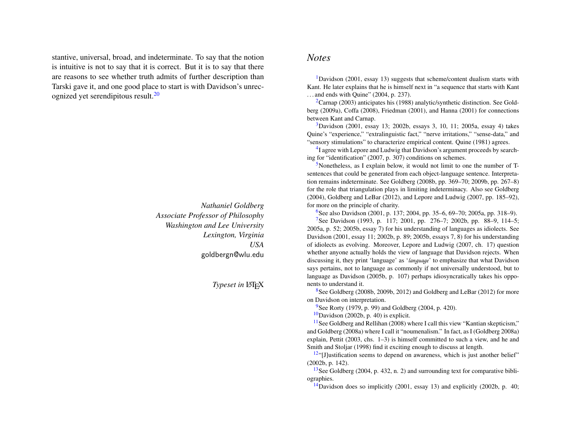<span id="page-16-14"></span>stantive, universal, broad, and indeterminate. To say that the notion is intuitive is not to say that it is correct. But it is to say that there are reasons to see whether truth admits of further description than Tarski gave it, and one good place to start is with Davidson's unrecognized yet serendipitous result.[20](#page-17-5)

> *Nathaniel Goldberg Associate Professor of Philosophy Washington and Lee University Lexington, Virginia USA* goldbergn@wlu.edu

> > **Typeset in LATEX**

#### *Notes*

<span id="page-16-0"></span><sup>[1](#page-1-0)</sup>Davidson (2001, essay 13) suggests that scheme/content dualism starts with Kant. He later explains that he is himself next in "a sequence that starts with Kant . . . and ends with Quine" (2004, p. 237).

<span id="page-16-1"></span> ${}^{2}$  ${}^{2}$  ${}^{2}$ Carnap (2003) anticipates his (1988) analytic/synthetic distinction. See Goldberg (2009a), Coffa (2008), Friedman (2001), and Hanna (2001) for connections between Kant and Carnap.

<span id="page-16-2"></span> $3$ Davidson (2001, essay 13; 2002b, essays 3, 10, 11; 2005a, essay 4) takes Quine's "experience," "extralinguistic fact," "nerve irritations," "sense-data," and "sensory stimulations" to characterize empirical content. Quine (1981) agrees.

<span id="page-16-3"></span><sup>[4](#page-2-0)</sup>I agree with Lepore and Ludwig that Davidson's argument proceeds by searching for "identification" (2007, p. 307) conditions on schemes.

<span id="page-16-4"></span>[5](#page-3-0)Nonetheless, as I explain below, it would not limit to one the number of Tsentences that could be generated from each object-language sentence. Interpretation remains indeterminate. See Goldberg (2008b, pp. 369–70; 2009b, pp. 267–8) for the role that triangulation plays in limiting indeterminacy. Also see Goldberg (2004), Goldberg and LeBar (2012), and Lepore and Ludwig (2007, pp. 185–92), for more on the principle of charity.

<span id="page-16-6"></span><span id="page-16-5"></span><sup>[6](#page-4-0)</sup>See also Davidson (2001, p. 137; 2004, pp. 35–6, 69–70; 2005a, pp. 318–9).

<sup>[7](#page-4-1)</sup>See Davidson (1993, p. 117; 2001, pp. 276–7; 2002b, pp. 88–9, 114–5; 2005a, p. 52; 2005b, essay 7) for his understanding of languages as idiolects. See Davidson (2001, essay 11; 2002b, p. 89; 2005b, essays 7, 8) for his understanding of idiolects as evolving. Moreover, Lepore and Ludwig (2007, ch. 17) question whether anyone actually holds the view of language that Davidson rejects. When discussing it, they print 'language' as '*language*' to emphasize that what Davidson says pertains, not to language as commonly if not universally understood, but to language as Davidson (2005b, p. 107) perhaps idiosyncratically takes his opponents to understand it.

<span id="page-16-7"></span>[8](#page-4-2)See Goldberg (2008b, 2009b, 2012) and Goldberg and LeBar (2012) for more on Davidson on interpretation.

<span id="page-16-8"></span> $9^9$  $9^9$ See Rorty (1979, p. 99) and Goldberg (2004, p. 420).

<span id="page-16-10"></span><span id="page-16-9"></span> $10$ Davidson (2002b, p. 40) is explicit.

 $11$ See Goldberg and Rellihan (2008) where I call this view "Kantian skepticism," and Goldberg (2008a) where I call it "noumenalism." In fact, as I (Goldberg 2008a) explain, Pettit (2003, chs. 1–3) is himself committed to such a view, and he and Smith and Stoljar (1998) find it exciting enough to discuss at length.

<span id="page-16-11"></span> $12$ "[J]ustification seems to depend on awareness, which is just another belief" (2002b, p. 142).

<span id="page-16-12"></span><sup>[13](#page-8-0)</sup>See Goldberg (2004, p. 432, n. 2) and surrounding text for comparative bibliographies.

<span id="page-16-13"></span><sup>[14](#page-9-0)</sup>Davidson does so implicitly (2001, essay 13) and explicitly (2002b, p. 40;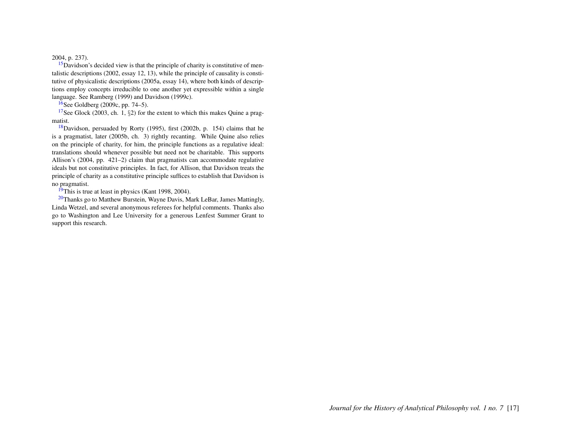#### 2004, p. 237).

<span id="page-17-0"></span> $15$ Davidson's decided view is that the principle of charity is constitutive of mentalistic descriptions (2002, essay 12, 13), while the principle of causality is constitutive of physicalistic descriptions (2005a, essay 14), where both kinds of descriptions employ concepts irreducible to one another yet expressible within a single language. See Ramberg (1999) and Davidson (1999c).

<span id="page-17-2"></span><span id="page-17-1"></span> $16$ See Goldberg (2009c, pp. 74–5).

<sup>[17](#page-13-0)</sup>See Glock (2003, ch. 1, §2) for the extent to which this makes Quine a pragmatist.

<span id="page-17-3"></span> $18$ Davidson, persuaded by Rorty (1995), first (2002b, p. 154) claims that he is a pragmatist, later (2005b, ch. 3) rightly recanting. While Quine also relies on the principle of charity, for him, the principle functions as a regulative ideal: translations should whenever possible but need not be charitable. This supports Allison's (2004, pp. 421–2) claim that pragmatists can accommodate regulative ideals but not constitutive principles. In fact, for Allison, that Davidson treats the principle of charity as a constitutive principle suffices to establish that Davidson is no pragmatist.

<span id="page-17-5"></span><span id="page-17-4"></span> $19$ This is true at least in physics (Kant 1998, 2004).

<sup>[20](#page-16-14)</sup>Thanks go to Matthew Burstein, Wayne Davis, Mark LeBar, James Mattingly, Linda Wetzel, and several anonymous referees for helpful comments. Thanks also go to Washington and Lee University for a generous Lenfest Summer Grant to support this research.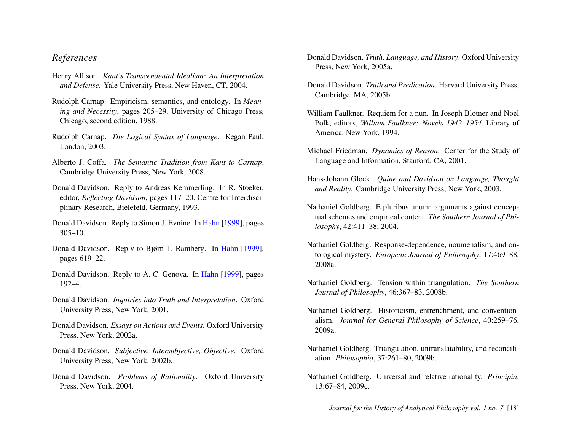## *References*

- Henry Allison. *Kant's Transcendental Idealism: An Interpretation and Defense*. Yale University Press, New Haven, CT, 2004.
- Rudolph Carnap. Empiricism, semantics, and ontology. In *Meaning and Necessity*, pages 205–29. University of Chicago Press, Chicago, second edition, 1988.
- Rudolph Carnap. *The Logical Syntax of Language*. Kegan Paul, London, 2003.
- Alberto J. Coffa. *The Semantic Tradition from Kant to Carnap*. Cambridge University Press, New York, 2008.
- Donald Davidson. Reply to Andreas Kemmerling. In R. Stoeker, editor, *Reflecting Davidson*, pages 117–20. Centre for Interdisciplinary Research, Bielefeld, Germany, 1993.
- Donald Davidson. Reply to Simon J. Evnine. In [Hahn](#page-19-0) [\[1999\]](#page-19-0), pages 305–10.
- Donald Davidson. Reply to Bjørn T. Ramberg. In [Hahn](#page-19-0) [\[1999\]](#page-19-0), pages 619–22.
- Donald Davidson. Reply to A. C. Genova. In [Hahn](#page-19-0) [\[1999\]](#page-19-0), pages 192–4.
- Donald Davidson. *Inquiries into Truth and Interpretation*. Oxford University Press, New York, 2001.
- Donald Davidson. *Essays on Actions and Events*. Oxford University Press, New York, 2002a.
- Donald Davidson. *Subjective, Intersubjective, Objective*. Oxford University Press, New York, 2002b.
- Donald Davidson. *Problems of Rationality*. Oxford University Press, New York, 2004.
- Donald Davidson. *Truth, Language, and History*. Oxford University Press, New York, 2005a.
- Donald Davidson. *Truth and Predication*. Harvard University Press, Cambridge, MA, 2005b.
- William Faulkner. Requiem for a nun. In Joseph Blotner and Noel Polk, editors, *William Faulkner: Novels 1942–1954*. Library of America, New York, 1994.
- Michael Friedman. *Dynamics of Reason*. Center for the Study of Language and Information, Stanford, CA, 2001.
- Hans-Johann Glock. *Quine and Davidson on Language, Thought and Reality*. Cambridge University Press, New York, 2003.
- Nathaniel Goldberg. E pluribus unum: arguments against conceptual schemes and empirical content. *The Southern Journal of Philosophy*, 42:411–38, 2004.
- Nathaniel Goldberg. Response-dependence, noumenalism, and ontological mystery. *European Journal of Philosophy*, 17:469–88, 2008a.
- Nathaniel Goldberg. Tension within triangulation. *The Southern Journal of Philosophy*, 46:367–83, 2008b.
- Nathaniel Goldberg. Historicism, entrenchment, and conventionalism. *Journal for General Philosophy of Science*, 40:259–76, 2009a.
- Nathaniel Goldberg. Triangulation, untranslatability, and reconciliation. *Philosophia*, 37:261–80, 2009b.
- Nathaniel Goldberg. Universal and relative rationality. *Principia*, 13:67–84, 2009c.

*Journal for the History of Analytical Philosophy vol. 1 no. 7* [18]